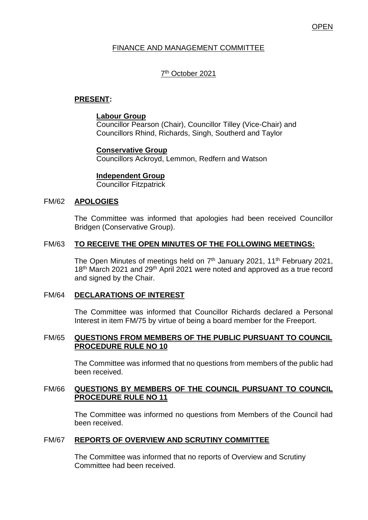# **OPEN**

# FINANCE AND MANAGEMENT COMMITTEE

# 7<sup>th</sup> October 2021

## **PRESENT:**

#### **Labour Group**

Councillor Pearson (Chair), Councillor Tilley (Vice-Chair) and Councillors Rhind, Richards, Singh, Southerd and Taylor

# **Conservative Group**

Councillors Ackroyd, Lemmon, Redfern and Watson

### **Independent Group**

Councillor Fitzpatrick

#### FM/62 **APOLOGIES**

The Committee was informed that apologies had been received Councillor Bridgen (Conservative Group).

# FM/63 **TO RECEIVE THE OPEN MINUTES OF THE FOLLOWING MEETINGS:**

The Open Minutes of meetings held on 7<sup>th</sup> January 2021, 11<sup>th</sup> February 2021, 18<sup>th</sup> March 2021 and 29<sup>th</sup> April 2021 were noted and approved as a true record and signed by the Chair.

#### FM/64 **DECLARATIONS OF INTEREST**

The Committee was informed that Councillor Richards declared a Personal Interest in item FM/75 by virtue of being a board member for the Freeport.

## FM/65 **QUESTIONS FROM MEMBERS OF THE PUBLIC PURSUANT TO COUNCIL PROCEDURE RULE NO 10**

The Committee was informed that no questions from members of the public had been received.

### FM/66 **QUESTIONS BY MEMBERS OF THE COUNCIL PURSUANT TO COUNCIL PROCEDURE RULE NO 11**

The Committee was informed no questions from Members of the Council had been received.

# FM/67 **REPORTS OF OVERVIEW AND SCRUTINY COMMITTEE**

The Committee was informed that no reports of Overview and Scrutiny Committee had been received.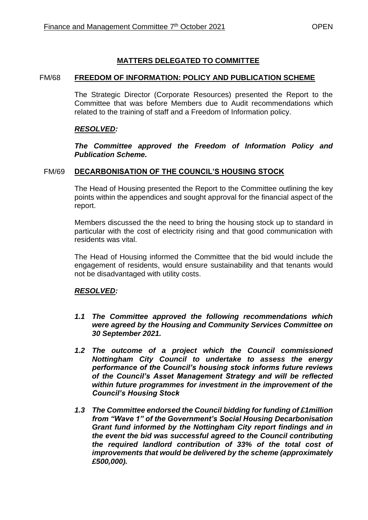# **MATTERS DELEGATED TO COMMITTEE**

### FM/68 **FREEDOM OF INFORMATION: POLICY AND PUBLICATION SCHEME**

The Strategic Director (Corporate Resources) presented the Report to the Committee that was before Members due to Audit recommendations which related to the training of staff and a Freedom of Information policy.

# *RESOLVED:*

*The Committee approved the Freedom of Information Policy and Publication Scheme.* 

### FM/69 **DECARBONISATION OF THE COUNCIL'S HOUSING STOCK**

The Head of Housing presented the Report to the Committee outlining the key points within the appendices and sought approval for the financial aspect of the report.

Members discussed the the need to bring the housing stock up to standard in particular with the cost of electricity rising and that good communication with residents was vital.

The Head of Housing informed the Committee that the bid would include the engagement of residents, would ensure sustainability and that tenants would not be disadvantaged with utility costs.

# *RESOLVED:*

- *1.1 The Committee approved the following recommendations which were agreed by the Housing and Community Services Committee on 30 September 2021.*
- *1.2 The outcome of a project which the Council commissioned Nottingham City Council to undertake to assess the energy performance of the Council's housing stock informs future reviews of the Council's Asset Management Strategy and will be reflected within future programmes for investment in the improvement of the Council's Housing Stock*
- *1.3 The Committee endorsed the Council bidding for funding of £1million from "Wave 1" of the Government's Social Housing Decarbonisation Grant fund informed by the Nottingham City report findings and in the event the bid was successful agreed to the Council contributing the required landlord contribution of 33% of the total cost of improvements that would be delivered by the scheme (approximately £500,000).*